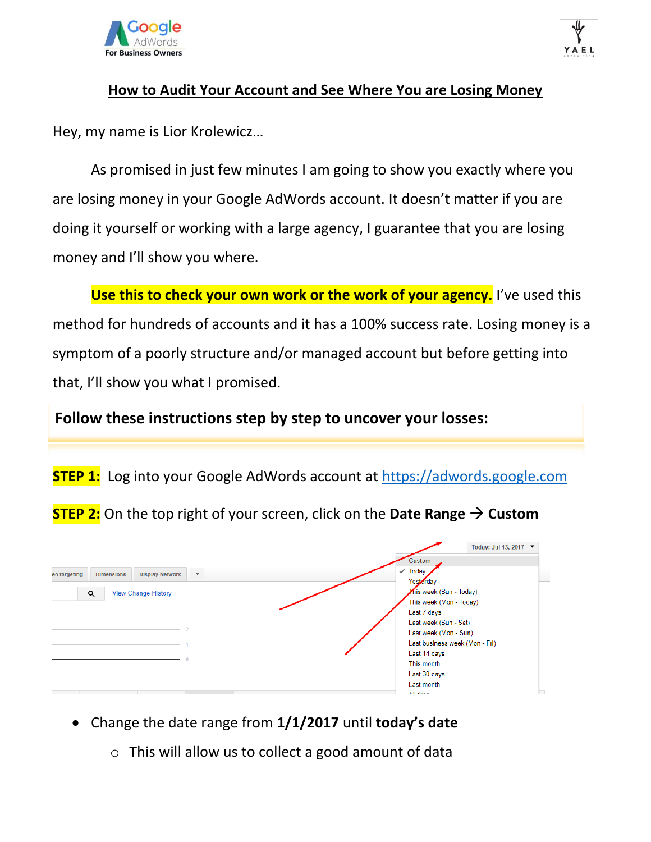



### **How to Audit Your Account and See Where You are Losing Money**

Hey, my name is Lior Krolewicz…

As promised in just few minutes I am going to show you exactly where you are losing money in your Google AdWords account. It doesn't matter if you are doing it yourself or working with a large agency, I guarantee that you are losing money and I'll show you where.

**Use this to check your own work or the work of your agency.** I've used this method for hundreds of accounts and it has a 100% success rate. Losing money is a symptom of a poorly structure and/or managed account but before getting into that, I'll show you what I promised.

**Follow these instructions step by step to uncover your losses:**

**STEP 1:** Log into your Google AdWords account at [https://adwords.google.com](https://adwords.google.com/)

**STEP 2:** On the top right of your screen, click on the **Date Range Custom**



• Change the date range from **1/1/2017** until **today's date**

o This will allow us to collect a good amount of data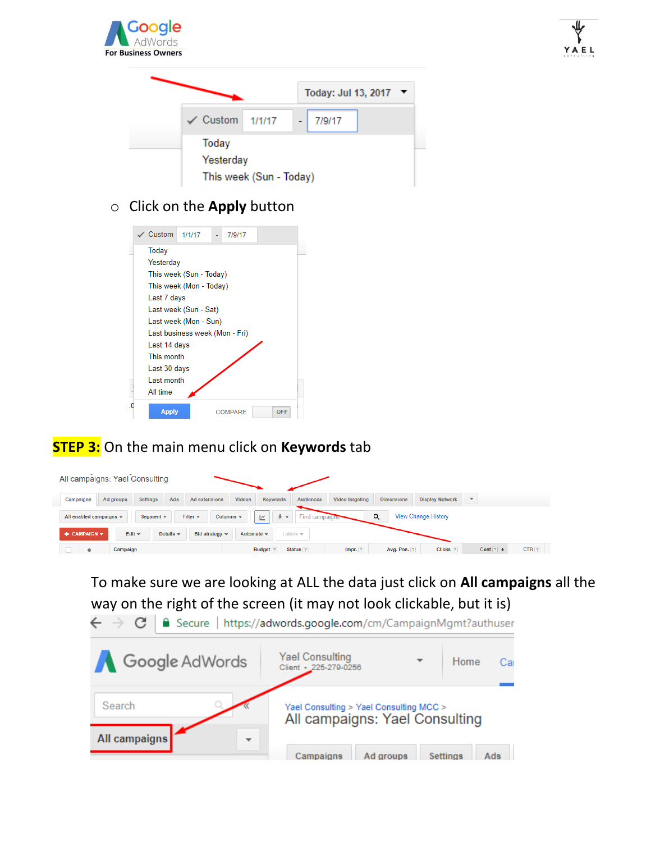



### o Click on the **Apply** button

|    | Custom                                                                                        | 1/1/17                                                                                                                                 | 7/9/17  |            |  |
|----|-----------------------------------------------------------------------------------------------|----------------------------------------------------------------------------------------------------------------------------------------|---------|------------|--|
|    | Today<br>Yesterday<br>Last 7 days<br>Last 14 days<br>This month<br>Last 30 days<br>Last month | This week (Sun - Today)<br>This week (Mon - Today)<br>Last week (Sun - Sat)<br>Last week (Mon - Sun)<br>Last business week (Mon - Fri) |         |            |  |
| .0 | All time<br><b>Apply</b>                                                                      |                                                                                                                                        | COMPARE | <b>OFF</b> |  |

# **STEP 3:** On the main menu click on **Keywords** tab

| All campaigns: Yael Consulting                                                                                                                            |                              |                      |                           |                  |                 |                   |                        |                          |                  |
|-----------------------------------------------------------------------------------------------------------------------------------------------------------|------------------------------|----------------------|---------------------------|------------------|-----------------|-------------------|------------------------|--------------------------|------------------|
| Campaigns                                                                                                                                                 | <b>Settings</b><br>Ad groups | Ads<br>Ad extensions | <b>Videos</b><br>Keywords | <b>Audiences</b> | Video targeting | <b>Dimensions</b> | <b>Display Network</b> | $\overline{\phantom{a}}$ |                  |
| $\alpha$<br>Find campaigns<br><b>View Change History</b><br>土土<br>All enabled campaigns $\sim$<br>Filter $\star$<br>Columns $\sim$<br>Segment $\sim$<br>Ľ |                              |                      |                           |                  |                 |                   |                        |                          |                  |
| $+$ CAMPAIGN $\star$<br>Edit $\sim$<br>Details $\sim$<br>Bid strategy $\sim$<br>Automate $\sim$<br>Labels $\div$                                          |                              |                      |                           |                  |                 |                   |                        |                          |                  |
| ۰                                                                                                                                                         | Campaign                     |                      | Budget <sub>?</sub>       | Status ?         | Impr. ?         | Avg. Pos. ?       | Clicks <sup>?</sup>    | Cost ? $\downarrow$      | CTR <sub>2</sub> |

# To make sure we are looking at ALL the data just click on **All campaigns** all the way on the right of the screen (it may not look clickable, but it is)

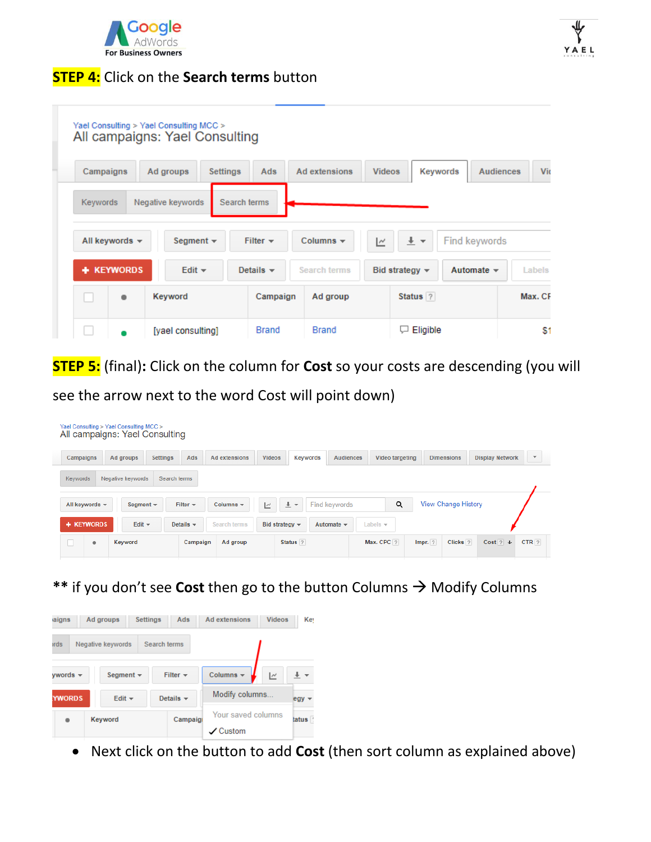

### **STEP 4:** Click on the **Search terms** button

|           |                     | Yael Consulting > Yael Consulting MCC ><br>All campaigns: Yael Consulting |                 |                              |                 |               |                             |                 |                  |         |
|-----------|---------------------|---------------------------------------------------------------------------|-----------------|------------------------------|-----------------|---------------|-----------------------------|-----------------|------------------|---------|
| Campaigns |                     | Ad groups                                                                 | <b>Settings</b> | Ads                          | Ad extensions   | <b>Videos</b> |                             | <b>Keywords</b> | <b>Audiences</b> | Vic     |
| Keywords  |                     | Negative keywords                                                         | Search terms    |                              |                 |               |                             |                 |                  |         |
|           | All keywords $\sim$ | Segment $\star$                                                           |                 | Filter $\div$                | Columns $\star$ | ∣∼            | $\frac{1}{2}$ $\rightarrow$ |                 | Find keywords    |         |
|           | <b>KEYWORDS</b>     | Edit $\star$                                                              |                 | Details $\blacktriangledown$ | Search terms    |               | Bid strategy $\sim$         |                 | Automate $\sim$  | Labels  |
|           | ٠                   | Keyword                                                                   |                 | Campaign                     | Ad group        |               | Status ?                    |                 |                  | Max. CF |
|           |                     | [yael consulting]                                                         |                 | <b>Brand</b>                 | <b>Brand</b>    |               | Eligible                    |                 |                  | \$1     |

**STEP 5:** (final)**:** Click on the column for **Cost** so your costs are descending (you will

see the arrow next to the word Cost will point down)

### Yael Consulting > Yael Consulting MCC ><br>All campaigns: Yael Consulting Campaigns Ad groups Settings Ads Ad extensions Videos Keywords Audiences Video targeting Dimensions Display Network **v** Keywords Negative keywords Search terms View Change History  $\mathsf q$ All keywords  $\star$ Columns  $\star$ Segment  $\star$ Filter  $\star$  $\overline{\phantom{a}}$  $\pm$  + Find keywords + KEYWORDS Edit  $\star$ Details  $\sim$ Search terms Bid strategy  $\sim$ Automate  $\star$ Labels  $\star$ Keyword Campaign Ad group Status<sup>?</sup> Max. CPC ? Impr.  $?$ Clicks<sup>7</sup> Cost  $?$   $\downarrow$  $CTR$  ?  $\bullet$

**\*\*** if you don't see Cost then go to the button Columns → Modify Columns

| aigns                                           | <b>Settings</b><br>Ad groups | Ads            | <b>Ad extensions</b>                  | <b>Videos</b>            | Ke <sup>1</sup> |  |
|-------------------------------------------------|------------------------------|----------------|---------------------------------------|--------------------------|-----------------|--|
| Search terms<br>Negative keywords<br><b>rds</b> |                              |                |                                       |                          |                 |  |
| $vwords$ $\star$                                | Segment $\sim$               | Filter $\div$  | Columns $\sim$                        | $\overline{\phantom{a}}$ |                 |  |
| <b>YWORDS</b><br>Edit $\star$                   |                              | Details $\sim$ | Modify columns.                       |                          | $egy -$         |  |
|                                                 | <b>Keyword</b>               | Campaigi       | Your saved columns<br>$\angle$ Custom |                          | tatus           |  |

• Next click on the button to add **Cost** (then sort column as explained above)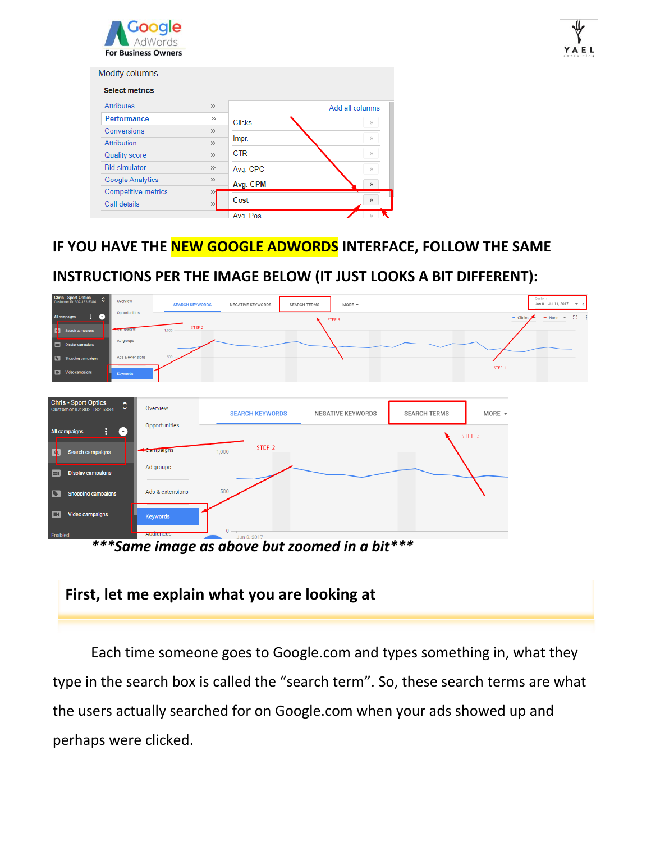

| <b>Select metrics</b>      |               |               |                 |
|----------------------------|---------------|---------------|-----------------|
| <b>Attributes</b>          | $\gg$         |               | Add all columns |
| <b>Performance</b>         | $\rightarrow$ | <b>Clicks</b> | $\mathbf{y}_i$  |
| Conversions                | $\rightarrow$ |               |                 |
| Attribution                | $\rightarrow$ | Impr.         | $\mathcal{V}$   |
| <b>Quality score</b>       | $\rightarrow$ | <b>CTR</b>    | $\mathcal{Y}$   |
| <b>Bid simulator</b>       | $\gg$         | Avg. CPC      | $\mathcal{V}$   |
| <b>Google Analytics</b>    | $\rightarrow$ | Avg. CPM      | $\mathcal{P}$   |
| <b>Competitive metrics</b> | ≫             |               |                 |
| Call details               | $\rightarrow$ | Cost          | $\mathcal{Y}$   |

# **IF YOU HAVE THE NEW GOOGLE ADWORDS INTERFACE, FOLLOW THE SAME**

# **INSTRUCTIONS PER THE IMAGE BELOW (IT JUST LOOKS A BIT DIFFERENT):**

| Chris - Sport Optics<br>Customer ID: 302-182-5384<br>$\boldsymbol{\hat{\cdot}}$<br>Overview | <b>SEARCH KEYWORDS</b>  | NEGATIVE KEYWORDS      | <b>SEARCH TERMS</b><br>MORE $\sqrt{*}$ |                     | Custom<br>Jun 8 - Jul 11, 2017 $\rightarrow$ < |
|---------------------------------------------------------------------------------------------|-------------------------|------------------------|----------------------------------------|---------------------|------------------------------------------------|
| Opportunities<br>$\bullet$<br>All campaigns<br>÷.                                           | STEP <sub>2</sub>       |                        | STEP 3                                 |                     | -53<br>$-$ Clicks<br>$-$ None $-$              |
| Campaigns<br>Search campaigns<br>$\blacksquare$                                             | 1,000                   |                        |                                        |                     |                                                |
| Ad groups<br>Display campaigns                                                              |                         |                        |                                        |                     |                                                |
| Ads & extensions<br>Shopping campaigns                                                      | 500                     |                        |                                        |                     |                                                |
| Video campaigns<br>Keywords                                                                 |                         |                        |                                        |                     | STEP <sub>1</sub>                              |
|                                                                                             |                         |                        |                                        |                     |                                                |
| Chris - Sport Optics<br>Customer ID: 302-182-5384<br>$\hat{\downarrow}$                     | Overview                | <b>SEARCH KEYWORDS</b> | NEGATIVE KEYWORDS                      | <b>SEARCH TERMS</b> | MORE $\blacktriangledown$                      |
| H<br>All campaigns<br>$\left( \cdot \right)$                                                | Opportunities           |                        |                                        | STEP <sub>3</sub>   |                                                |
| ъ<br><b>Search campaigns</b>                                                                | Campaigns<br>1,000      | STEP <sub>2</sub>      |                                        |                     |                                                |
| <b>Display campaigns</b><br>E                                                               | Ad groups               |                        |                                        |                     |                                                |
| $\bullet$<br><b>Shopping campaigns</b>                                                      | 500<br>Ads & extensions |                        |                                        |                     |                                                |
| E<br><b>Video campaigns</b>                                                                 | <b>Keywords</b>         |                        |                                        |                     |                                                |
| Enabled<br>.                                                                                | <b>Augierices</b>       | $0 -$<br>Jun 8, 2017   |                                        | .                   |                                                |

*\*\*\*Same image as above but zoomed in a bit\*\*\**

# **First, let me explain what you are looking at**

Each time someone goes to Google.com and types something in, what they type in the search box is called the "search term". So, these search terms are what the users actually searched for on Google.com when your ads showed up and perhaps were clicked.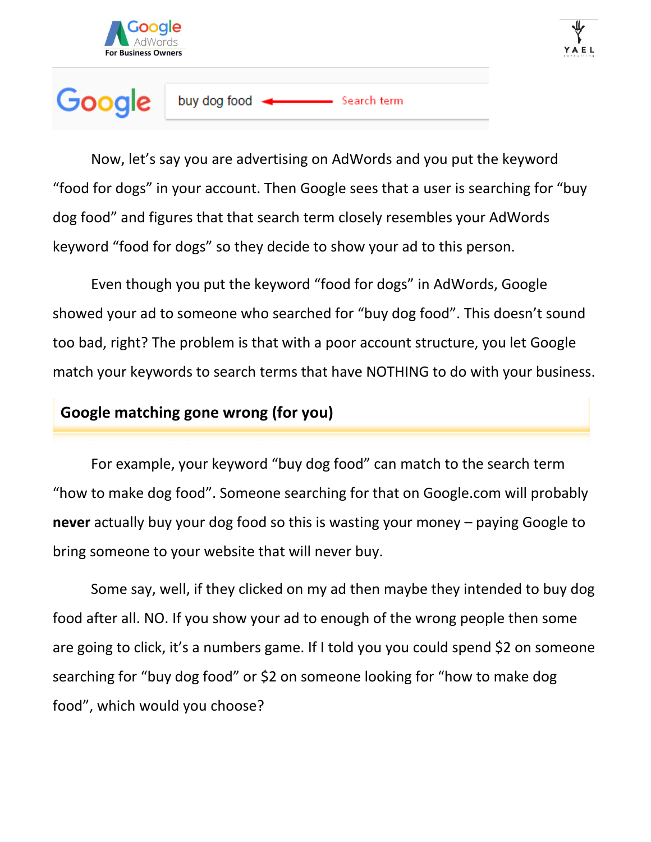

### Google buy dog food Search term

Now, let's say you are advertising on AdWords and you put the keyword "food for dogs" in your account. Then Google sees that a user is searching for "buy dog food" and figures that that search term closely resembles your AdWords keyword "food for dogs" so they decide to show your ad to this person.

Even though you put the keyword "food for dogs" in AdWords, Google showed your ad to someone who searched for "buy dog food". This doesn't sound too bad, right? The problem is that with a poor account structure, you let Google match your keywords to search terms that have NOTHING to do with your business.

### **Google matching gone wrong (for you)**

For example, your keyword "buy dog food" can match to the search term "how to make dog food". Someone searching for that on Google.com will probably **never** actually buy your dog food so this is wasting your money – paying Google to bring someone to your website that will never buy.

Some say, well, if they clicked on my ad then maybe they intended to buy dog food after all. NO. If you show your ad to enough of the wrong people then some are going to click, it's a numbers game. If I told you you could spend \$2 on someone searching for "buy dog food" or \$2 on someone looking for "how to make dog food", which would you choose?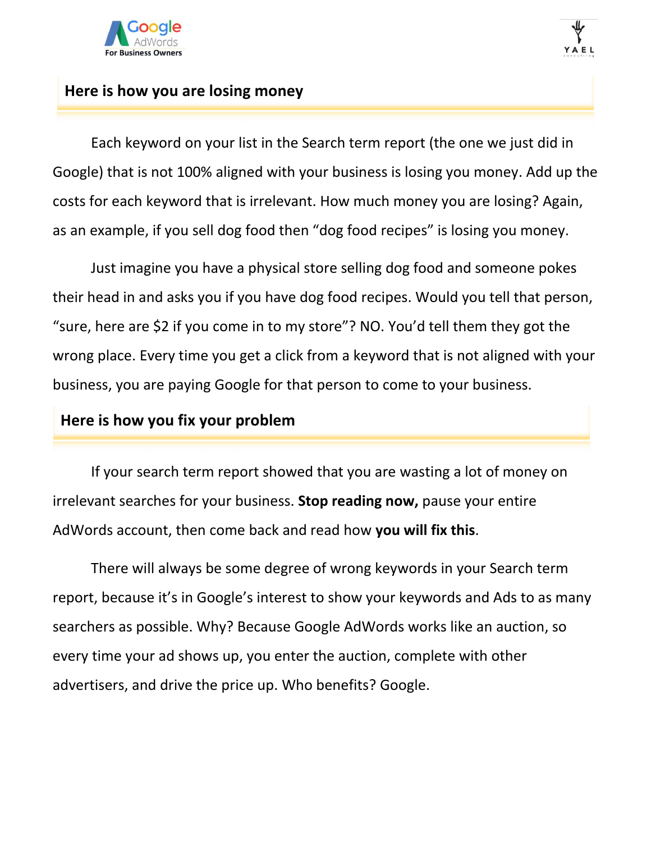

### **Here is how you are losing money**

Each keyword on your list in the Search term report (the one we just did in Google) that is not 100% aligned with your business is losing you money. Add up the costs for each keyword that is irrelevant. How much money you are losing? Again, as an example, if you sell dog food then "dog food recipes" is losing you money.

Just imagine you have a physical store selling dog food and someone pokes their head in and asks you if you have dog food recipes. Would you tell that person, "sure, here are \$2 if you come in to my store"? NO. You'd tell them they got the wrong place. Every time you get a click from a keyword that is not aligned with your business, you are paying Google for that person to come to your business.

### **Here is how you fix your problem**

If your search term report showed that you are wasting a lot of money on irrelevant searches for your business. **Stop reading now,** pause your entire AdWords account, then come back and read how **you will fix this**.

There will always be some degree of wrong keywords in your Search term report, because it's in Google's interest to show your keywords and Ads to as many searchers as possible. Why? Because Google AdWords works like an auction, so every time your ad shows up, you enter the auction, complete with other advertisers, and drive the price up. Who benefits? Google.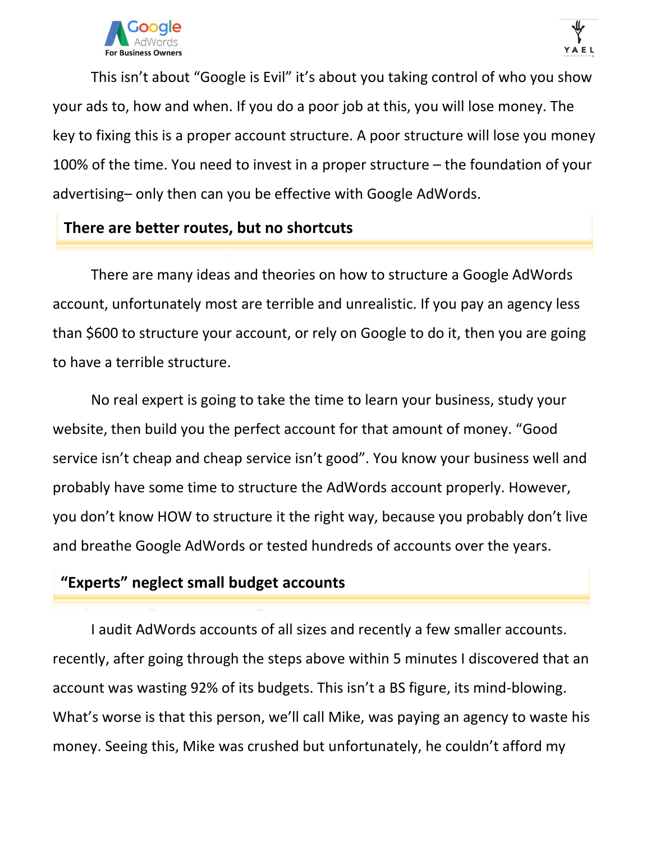

This isn't about "Google is Evil" it's about you taking control of who you show your ads to, how and when. If you do a poor job at this, you will lose money. The key to fixing this is a proper account structure. A poor structure will lose you money 100% of the time. You need to invest in a proper structure – the foundation of your advertising– only then can you be effective with Google AdWords.

### **There are better routes, but no shortcuts**

There are many ideas and theories on how to structure a Google AdWords account, unfortunately most are terrible and unrealistic. If you pay an agency less than \$600 to structure your account, or rely on Google to do it, then you are going to have a terrible structure.

No real expert is going to take the time to learn your business, study your website, then build you the perfect account for that amount of money. "Good service isn't cheap and cheap service isn't good". You know your business well and probably have some time to structure the AdWords account properly. However, you don't know HOW to structure it the right way, because you probably don't live and breathe Google AdWords or tested hundreds of accounts over the years.

# **"Experts" neglect small budget accounts**

I audit AdWords accounts of all sizes and recently a few smaller accounts. recently, after going through the steps above within 5 minutes I discovered that an account was wasting 92% of its budgets. This isn't a BS figure, its mind-blowing. What's worse is that this person, we'll call Mike, was paying an agency to waste his money. Seeing this, Mike was crushed but unfortunately, he couldn't afford my